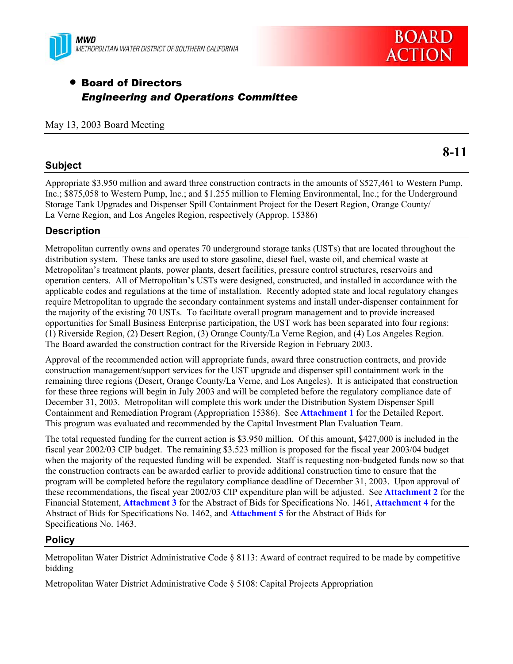



# **• Board of Directors** *Engineering and Operations Committee*

### May 13, 2003 Board Meeting

# **8-11**

# **Subject**

Appropriate \$3.950 million and award three construction contracts in the amounts of \$527,461 to Western Pump, Inc.; \$875,058 to Western Pump, Inc.; and \$1.255 million to Fleming Environmental, Inc.; for the Underground Storage Tank Upgrades and Dispenser Spill Containment Project for the Desert Region, Orange County/ La Verne Region, and Los Angeles Region, respectively (Approp. 15386)

# **Description**

Metropolitan currently owns and operates 70 underground storage tanks (USTs) that are located throughout the distribution system. These tanks are used to store gasoline, diesel fuel, waste oil, and chemical waste at Metropolitan's treatment plants, power plants, desert facilities, pressure control structures, reservoirs and operation centers. All of Metropolitan's USTs were designed, constructed, and installed in accordance with the applicable codes and regulations at the time of installation. Recently adopted state and local regulatory changes require Metropolitan to upgrade the secondary containment systems and install under-dispenser containment for the majority of the existing 70 USTs. To facilitate overall program management and to provide increased opportunities for Small Business Enterprise participation, the UST work has been separated into four regions: (1) Riverside Region, (2) Desert Region, (3) Orange County/La Verne Region, and (4) Los Angeles Region. The Board awarded the construction contract for the Riverside Region in February 2003.

Approval of the recommended action will appropriate funds, award three construction contracts, and provide construction management/support services for the UST upgrade and dispenser spill containment work in the remaining three regions (Desert, Orange County/La Verne, and Los Angeles). It is anticipated that construction for these three regions will begin in July 2003 and will be completed before the regulatory compliance date of December 31, 2003. Metropolitan will complete this work under the Distribution System Dispenser Spill Containment and Remediation Program (Appropriation 15386). See **Attachment 1** for the Detailed Report. This program was evaluated and recommended by the Capital Investment Plan Evaluation Team.

The total requested funding for the current action is \$3.950 million. Of this amount, \$427,000 is included in the fiscal year 2002/03 CIP budget. The remaining \$3.523 million is proposed for the fiscal year 2003/04 budget when the majority of the requested funding will be expended. Staff is requesting non-budgeted funds now so that the construction contracts can be awarded earlier to provide additional construction time to ensure that the program will be completed before the regulatory compliance deadline of December 31, 2003. Upon approval of these recommendations, the fiscal year 2002/03 CIP expenditure plan will be adjusted. See **Attachment 2** for the Financial Statement, **Attachment 3** for the Abstract of Bids for Specifications No. 1461, **Attachment 4** for the Abstract of Bids for Specifications No. 1462, and **Attachment 5** for the Abstract of Bids for Specifications No. 1463.

# **Policy**

Metropolitan Water District Administrative Code § 8113: Award of contract required to be made by competitive bidding

Metropolitan Water District Administrative Code § 5108: Capital Projects Appropriation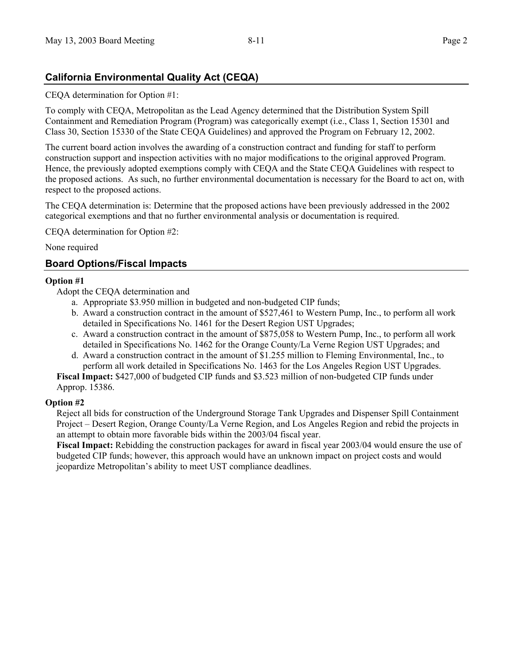# **California Environmental Quality Act (CEQA)**

CEQA determination for Option #1:

To comply with CEQA, Metropolitan as the Lead Agency determined that the Distribution System Spill Containment and Remediation Program (Program) was categorically exempt (i.e., Class 1, Section 15301 and Class 30, Section 15330 of the State CEQA Guidelines) and approved the Program on February 12, 2002.

The current board action involves the awarding of a construction contract and funding for staff to perform construction support and inspection activities with no major modifications to the original approved Program. Hence, the previously adopted exemptions comply with CEQA and the State CEQA Guidelines with respect to the proposed actions. As such, no further environmental documentation is necessary for the Board to act on, with respect to the proposed actions.

The CEQA determination is: Determine that the proposed actions have been previously addressed in the 2002 categorical exemptions and that no further environmental analysis or documentation is required.

CEQA determination for Option #2:

None required

# **Board Options/Fiscal Impacts**

## **Option #1**

Adopt the CEQA determination and

- a. Appropriate \$3.950 million in budgeted and non-budgeted CIP funds;
- b. Award a construction contract in the amount of \$527,461 to Western Pump, Inc., to perform all work detailed in Specifications No. 1461 for the Desert Region UST Upgrades;
- c. Award a construction contract in the amount of \$875,058 to Western Pump, Inc., to perform all work detailed in Specifications No. 1462 for the Orange County/La Verne Region UST Upgrades; and
- d. Award a construction contract in the amount of \$1.255 million to Fleming Environmental, Inc., to perform all work detailed in Specifications No. 1463 for the Los Angeles Region UST Upgrades.

**Fiscal Impact:** \$427,000 of budgeted CIP funds and \$3.523 million of non-budgeted CIP funds under Approp. 15386.

### **Option #2**

Reject all bids for construction of the Underground Storage Tank Upgrades and Dispenser Spill Containment Project – Desert Region, Orange County/La Verne Region, and Los Angeles Region and rebid the projects in an attempt to obtain more favorable bids within the 2003/04 fiscal year.

**Fiscal Impact:** Rebidding the construction packages for award in fiscal year 2003/04 would ensure the use of budgeted CIP funds; however, this approach would have an unknown impact on project costs and would jeopardize Metropolitan's ability to meet UST compliance deadlines.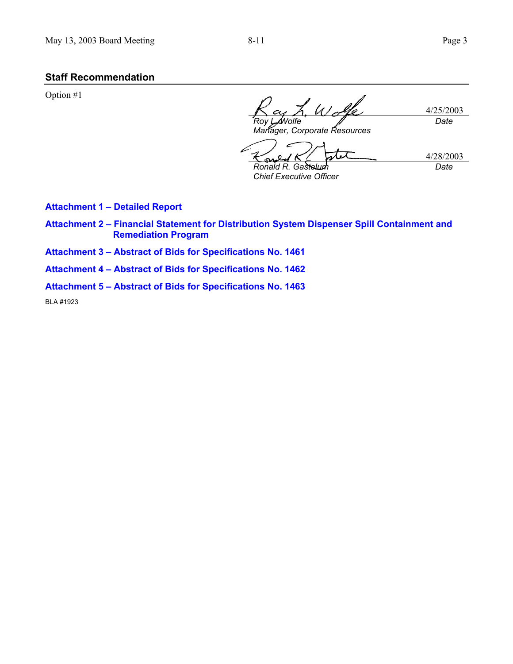# **Staff Recommendation**

Option #1

4/25/2003 *Roy L. Wolfe Manager, Corporate Resources Date*

 $\boldsymbol{\mathcal{X}}$ 4/28/2003 ິ *Date* **Ronald R. Gas** 

*Chief Executive Officer* 

**Attachment 1 – Detailed Report** 

- **Attachment 2 Financial Statement for Distribution System Dispenser Spill Containment and Remediation Program**
- **Attachment 3 Abstract of Bids for Specifications No. 1461**
- **Attachment 4 Abstract of Bids for Specifications No. 1462**
- **Attachment 5 Abstract of Bids for Specifications No. 1463**

BLA #1923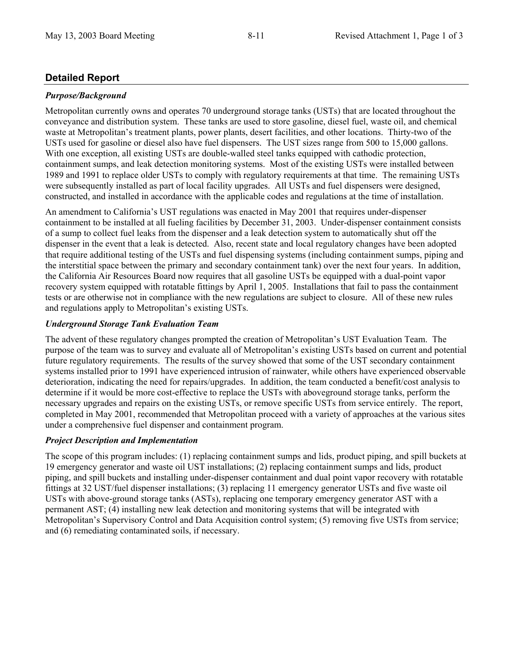# **Detailed Report**

## *Purpose/Background*

Metropolitan currently owns and operates 70 underground storage tanks (USTs) that are located throughout the conveyance and distribution system. These tanks are used to store gasoline, diesel fuel, waste oil, and chemical waste at Metropolitan's treatment plants, power plants, desert facilities, and other locations. Thirty-two of the USTs used for gasoline or diesel also have fuel dispensers. The UST sizes range from 500 to 15,000 gallons. With one exception, all existing USTs are double-walled steel tanks equipped with cathodic protection, containment sumps, and leak detection monitoring systems. Most of the existing USTs were installed between 1989 and 1991 to replace older USTs to comply with regulatory requirements at that time. The remaining USTs were subsequently installed as part of local facility upgrades. All USTs and fuel dispensers were designed, constructed, and installed in accordance with the applicable codes and regulations at the time of installation.

An amendment to California's UST regulations was enacted in May 2001 that requires under-dispenser containment to be installed at all fueling facilities by December 31, 2003. Under-dispenser containment consists of a sump to collect fuel leaks from the dispenser and a leak detection system to automatically shut off the dispenser in the event that a leak is detected. Also, recent state and local regulatory changes have been adopted that require additional testing of the USTs and fuel dispensing systems (including containment sumps, piping and the interstitial space between the primary and secondary containment tank) over the next four years. In addition, the California Air Resources Board now requires that all gasoline USTs be equipped with a dual-point vapor recovery system equipped with rotatable fittings by April 1, 2005. Installations that fail to pass the containment tests or are otherwise not in compliance with the new regulations are subject to closure. All of these new rules and regulations apply to Metropolitan's existing USTs.

## *Underground Storage Tank Evaluation Team*

The advent of these regulatory changes prompted the creation of Metropolitan's UST Evaluation Team. The purpose of the team was to survey and evaluate all of Metropolitan's existing USTs based on current and potential future regulatory requirements. The results of the survey showed that some of the UST secondary containment systems installed prior to 1991 have experienced intrusion of rainwater, while others have experienced observable deterioration, indicating the need for repairs/upgrades. In addition, the team conducted a benefit/cost analysis to determine if it would be more cost-effective to replace the USTs with aboveground storage tanks, perform the necessary upgrades and repairs on the existing USTs, or remove specific USTs from service entirely. The report, completed in May 2001, recommended that Metropolitan proceed with a variety of approaches at the various sites under a comprehensive fuel dispenser and containment program.

# *Project Description and Implementation*

The scope of this program includes: (1) replacing containment sumps and lids, product piping, and spill buckets at 19 emergency generator and waste oil UST installations; (2) replacing containment sumps and lids, product piping, and spill buckets and installing under-dispenser containment and dual point vapor recovery with rotatable fittings at 32 UST/fuel dispenser installations; (3) replacing 11 emergency generator USTs and five waste oil USTs with above-ground storage tanks (ASTs), replacing one temporary emergency generator AST with a permanent AST; (4) installing new leak detection and monitoring systems that will be integrated with Metropolitan's Supervisory Control and Data Acquisition control system; (5) removing five USTs from service; and (6) remediating contaminated soils, if necessary.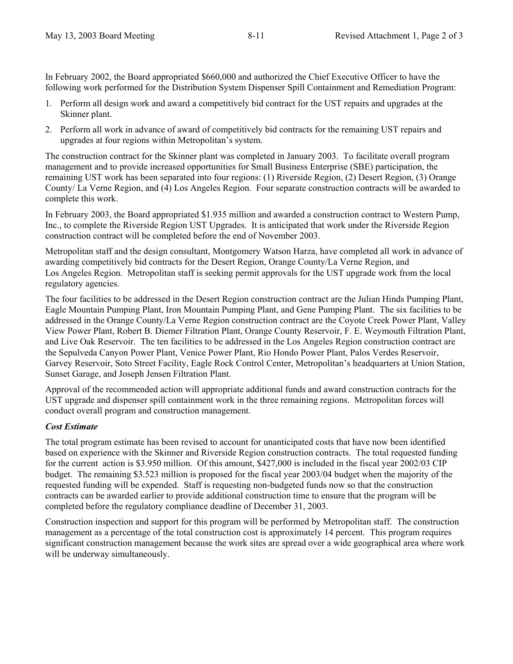In February 2002, the Board appropriated \$660,000 and authorized the Chief Executive Officer to have the following work performed for the Distribution System Dispenser Spill Containment and Remediation Program:

- 1. Perform all design work and award a competitively bid contract for the UST repairs and upgrades at the Skinner plant.
- 2. Perform all work in advance of award of competitively bid contracts for the remaining UST repairs and upgrades at four regions within Metropolitan's system.

The construction contract for the Skinner plant was completed in January 2003. To facilitate overall program management and to provide increased opportunities for Small Business Enterprise (SBE) participation, the remaining UST work has been separated into four regions: (1) Riverside Region, (2) Desert Region, (3) Orange County/ La Verne Region, and (4) Los Angeles Region. Four separate construction contracts will be awarded to complete this work.

In February 2003, the Board appropriated \$1.935 million and awarded a construction contract to Western Pump, Inc., to complete the Riverside Region UST Upgrades. It is anticipated that work under the Riverside Region construction contract will be completed before the end of November 2003.

Metropolitan staff and the design consultant, Montgomery Watson Harza, have completed all work in advance of awarding competitively bid contracts for the Desert Region, Orange County/La Verne Region, and Los Angeles Region. Metropolitan staff is seeking permit approvals for the UST upgrade work from the local regulatory agencies.

The four facilities to be addressed in the Desert Region construction contract are the Julian Hinds Pumping Plant, Eagle Mountain Pumping Plant, Iron Mountain Pumping Plant, and Gene Pumping Plant. The six facilities to be addressed in the Orange County/La Verne Region construction contract are the Coyote Creek Power Plant, Valley View Power Plant, Robert B. Diemer Filtration Plant, Orange County Reservoir, F. E. Weymouth Filtration Plant, and Live Oak Reservoir. The ten facilities to be addressed in the Los Angeles Region construction contract are the Sepulveda Canyon Power Plant, Venice Power Plant, Rio Hondo Power Plant, Palos Verdes Reservoir, Garvey Reservoir, Soto Street Facility, Eagle Rock Control Center, Metropolitan's headquarters at Union Station, Sunset Garage, and Joseph Jensen Filtration Plant.

Approval of the recommended action will appropriate additional funds and award construction contracts for the UST upgrade and dispenser spill containment work in the three remaining regions. Metropolitan forces will conduct overall program and construction management.

# *Cost Estimate*

The total program estimate has been revised to account for unanticipated costs that have now been identified based on experience with the Skinner and Riverside Region construction contracts. The total requested funding for the current action is \$3.950 million. Of this amount, \$427,000 is included in the fiscal year 2002/03 CIP budget. The remaining \$3.523 million is proposed for the fiscal year 2003/04 budget when the majority of the requested funding will be expended. Staff is requesting non-budgeted funds now so that the construction contracts can be awarded earlier to provide additional construction time to ensure that the program will be completed before the regulatory compliance deadline of December 31, 2003.

Construction inspection and support for this program will be performed by Metropolitan staff. The construction management as a percentage of the total construction cost is approximately 14 percent. This program requires significant construction management because the work sites are spread over a wide geographical area where work will be underway simultaneously.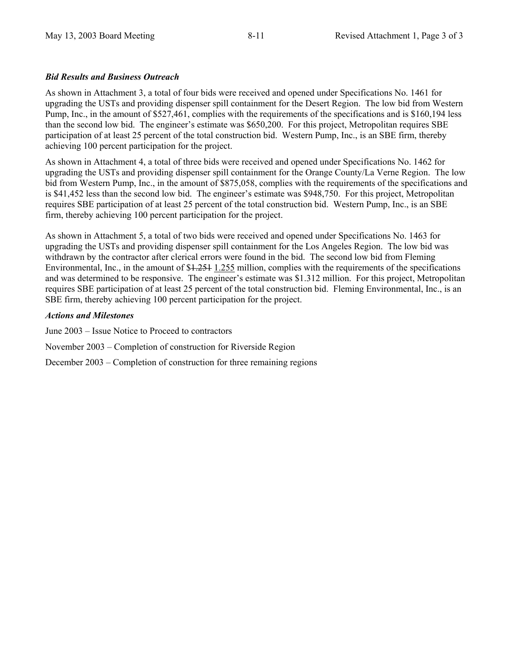## *Bid Results and Business Outreach*

As shown in Attachment 3, a total of four bids were received and opened under Specifications No. 1461 for upgrading the USTs and providing dispenser spill containment for the Desert Region. The low bid from Western Pump, Inc., in the amount of \$527,461, complies with the requirements of the specifications and is \$160,194 less than the second low bid. The engineer's estimate was \$650,200. For this project, Metropolitan requires SBE participation of at least 25 percent of the total construction bid. Western Pump, Inc., is an SBE firm, thereby achieving 100 percent participation for the project.

As shown in Attachment 4, a total of three bids were received and opened under Specifications No. 1462 for upgrading the USTs and providing dispenser spill containment for the Orange County/La Verne Region. The low bid from Western Pump, Inc., in the amount of \$875,058, complies with the requirements of the specifications and is \$41,452 less than the second low bid. The engineer's estimate was \$948,750. For this project, Metropolitan requires SBE participation of at least 25 percent of the total construction bid. Western Pump, Inc., is an SBE firm, thereby achieving 100 percent participation for the project.

As shown in Attachment 5, a total of two bids were received and opened under Specifications No. 1463 for upgrading the USTs and providing dispenser spill containment for the Los Angeles Region. The low bid was withdrawn by the contractor after clerical errors were found in the bid. The second low bid from Fleming Environmental, Inc., in the amount of \$1.251 1.255 million, complies with the requirements of the specifications and was determined to be responsive. The engineer's estimate was \$1.312 million. For this project, Metropolitan requires SBE participation of at least 25 percent of the total construction bid. Fleming Environmental, Inc., is an SBE firm, thereby achieving 100 percent participation for the project.

### *Actions and Milestones*

June 2003 – Issue Notice to Proceed to contractors

November 2003 – Completion of construction for Riverside Region

December 2003 – Completion of construction for three remaining regions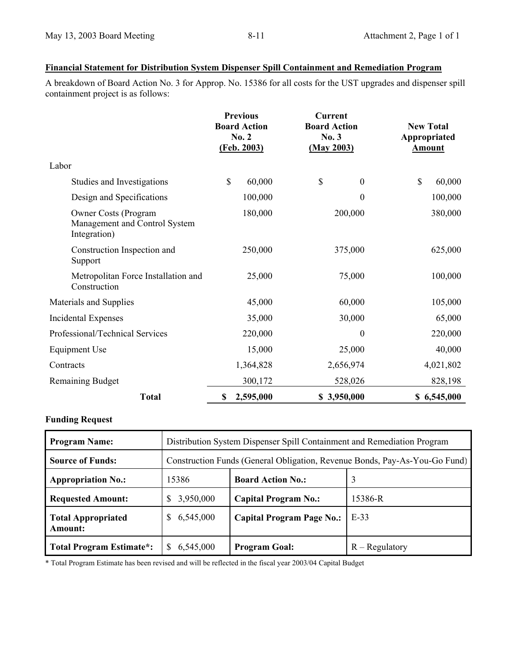### **Financial Statement for Distribution System Dispenser Spill Containment and Remediation Program**

A breakdown of Board Action No. 3 for Approp. No. 15386 for all costs for the UST upgrades and dispenser spill containment project is as follows:

|                                                                              | <b>Previous</b><br><b>Board Action</b><br>No. 2<br>(Feb. 2003) | <b>Current</b><br><b>Board Action</b><br>No.3<br>(May 2003) | <b>New Total</b><br>Appropriated<br><b>Amount</b> |
|------------------------------------------------------------------------------|----------------------------------------------------------------|-------------------------------------------------------------|---------------------------------------------------|
| Labor                                                                        |                                                                |                                                             |                                                   |
| Studies and Investigations                                                   | \$<br>60,000                                                   | \$<br>$\boldsymbol{0}$                                      | \$<br>60,000                                      |
| Design and Specifications                                                    | 100,000                                                        | 0                                                           | 100,000                                           |
| <b>Owner Costs (Program</b><br>Management and Control System<br>Integration) | 180,000                                                        | 200,000                                                     | 380,000                                           |
| Construction Inspection and<br>Support                                       | 250,000                                                        | 375,000                                                     | 625,000                                           |
| Metropolitan Force Installation and<br>Construction                          | 25,000                                                         | 75,000                                                      | 100,000                                           |
| Materials and Supplies                                                       | 45,000                                                         | 60,000                                                      | 105,000                                           |
| Incidental Expenses                                                          | 35,000                                                         | 30,000                                                      | 65,000                                            |
| Professional/Technical Services                                              | 220,000                                                        | $\boldsymbol{0}$                                            | 220,000                                           |
| <b>Equipment Use</b>                                                         | 15,000                                                         | 25,000                                                      | 40,000                                            |
| Contracts                                                                    | 1,364,828                                                      | 2,656,974                                                   | 4,021,802                                         |
| <b>Remaining Budget</b>                                                      | 300,172                                                        | 528,026                                                     | 828,198                                           |
| <b>Total</b>                                                                 | 2,595,000<br>\$                                                | \$3,950,000                                                 | \$6,545,000                                       |

# **Funding Request**

| <b>Program Name:</b>                        | Distribution System Dispenser Spill Containment and Remediation Program    |                                  |                  |
|---------------------------------------------|----------------------------------------------------------------------------|----------------------------------|------------------|
| <b>Source of Funds:</b>                     | Construction Funds (General Obligation, Revenue Bonds, Pay-As-You-Go Fund) |                                  |                  |
| <b>Appropriation No.:</b>                   | 15386                                                                      | <b>Board Action No.:</b>         | 3                |
| <b>Requested Amount:</b>                    | 3,950,000                                                                  | <b>Capital Program No.:</b>      | 15386-R          |
| <b>Total Appropriated</b><br><b>Amount:</b> | 6,545,000                                                                  | <b>Capital Program Page No.:</b> | $E-33$           |
| <b>Total Program Estimate*:</b>             | 6,545,000                                                                  | <b>Program Goal:</b>             | $R -$ Regulatory |

\* Total Program Estimate has been revised and will be reflected in the fiscal year 2003/04 Capital Budget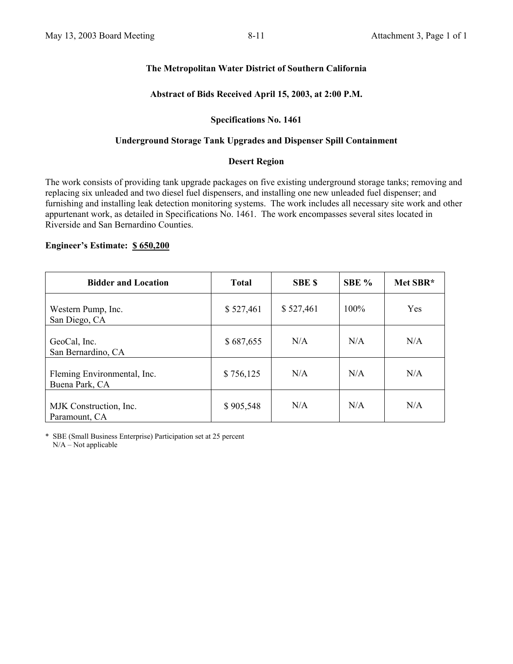# **The Metropolitan Water District of Southern California**

# **Abstract of Bids Received April 15, 2003, at 2:00 P.M.**

### **Specifications No. 1461**

## **Underground Storage Tank Upgrades and Dispenser Spill Containment**

### **Desert Region**

The work consists of providing tank upgrade packages on five existing underground storage tanks; removing and replacing six unleaded and two diesel fuel dispensers, and installing one new unleaded fuel dispenser; and furnishing and installing leak detection monitoring systems. The work includes all necessary site work and other appurtenant work, as detailed in Specifications No. 1461. The work encompasses several sites located in Riverside and San Bernardino Counties.

# **Engineer's Estimate: \$ 650,200**

| <b>Bidder and Location</b>                    | <b>Total</b> | <b>SBE \$</b> | SBE %   | Met SBR* |
|-----------------------------------------------|--------------|---------------|---------|----------|
| Western Pump, Inc.<br>San Diego, CA           | \$527,461    | \$527,461     | $100\%$ | Yes      |
| GeoCal, Inc.<br>San Bernardino, CA            | \$687,655    | N/A           | N/A     | N/A      |
| Fleming Environmental, Inc.<br>Buena Park, CA | \$756,125    | N/A           | N/A     | N/A      |
| MJK Construction, Inc.<br>Paramount, CA       | \$905,548    | N/A           | N/A     | N/A      |

\* SBE (Small Business Enterprise) Participation set at 25 percent N/A – Not applicable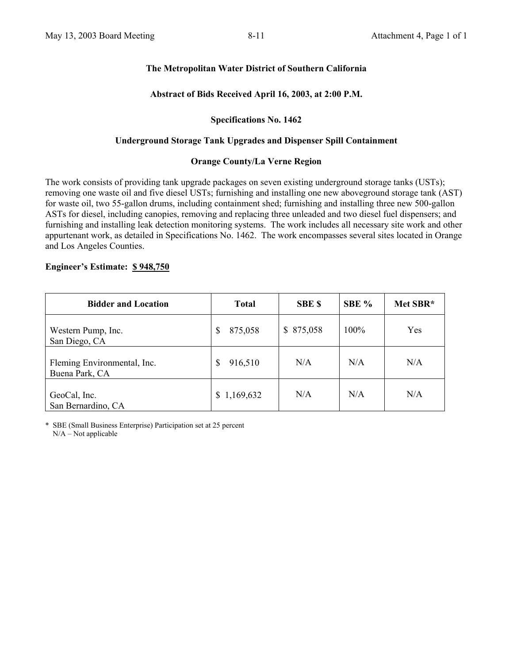# **The Metropolitan Water District of Southern California**

# **Abstract of Bids Received April 16, 2003, at 2:00 P.M.**

### **Specifications No. 1462**

### **Underground Storage Tank Upgrades and Dispenser Spill Containment**

### **Orange County/La Verne Region**

The work consists of providing tank upgrade packages on seven existing underground storage tanks (USTs); removing one waste oil and five diesel USTs; furnishing and installing one new aboveground storage tank (AST) for waste oil, two 55-gallon drums, including containment shed; furnishing and installing three new 500-gallon ASTs for diesel, including canopies, removing and replacing three unleaded and two diesel fuel dispensers; and furnishing and installing leak detection monitoring systems. The work includes all necessary site work and other appurtenant work, as detailed in Specifications No. 1462. The work encompasses several sites located in Orange and Los Angeles Counties.

### **Engineer's Estimate: \$ 948,750**

| <b>Bidder and Location</b>                    | <b>Total</b>  | <b>SBE \$</b> | SBE % | Met SBR* |
|-----------------------------------------------|---------------|---------------|-------|----------|
| Western Pump, Inc.<br>San Diego, CA           | \$<br>875,058 | \$ 875,058    | 100%  | Yes      |
| Fleming Environmental, Inc.<br>Buena Park, CA | 916,510<br>\$ | N/A           | N/A   | N/A      |
| GeoCal, Inc.<br>San Bernardino, CA            | \$1,169,632   | N/A           | N/A   | N/A      |

\* SBE (Small Business Enterprise) Participation set at 25 percent N/A – Not applicable